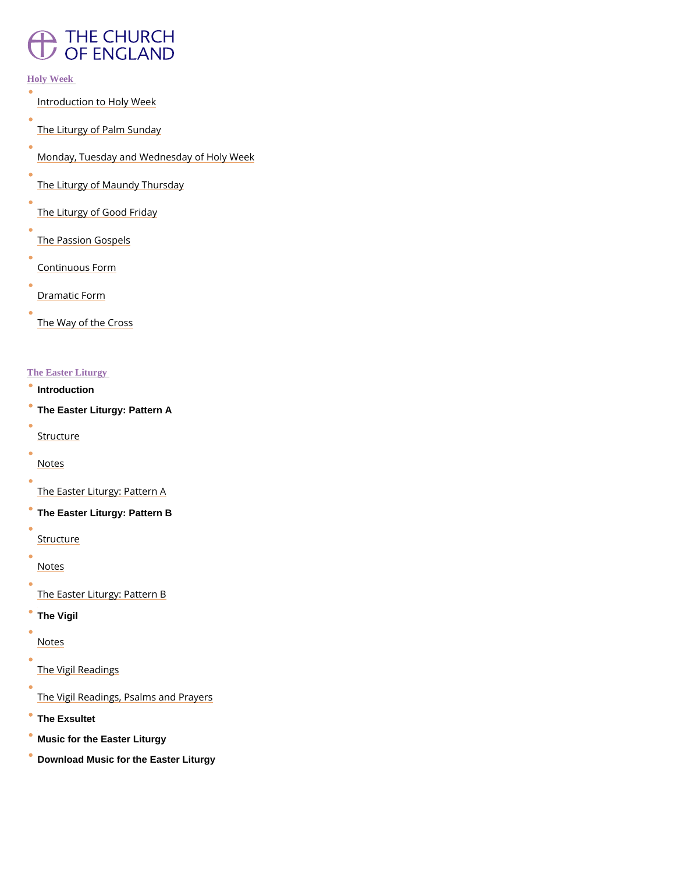## **THE CHURCH** OF ENGLAND

#### Holy Week

- [Introduction to H](/prayer-and-worship/worship-texts-and-resources/common-worship/churchs-year/holy-week-and-easter/holy-week#mm014)oly Week
- [The Liturgy of Pal](/prayer-and-worship/worship-texts-and-resources/common-worship/churchs-year/holy-week-and-easter/holy-week#mm015)m Sunday
- [Monday, Tuesday and Wednesda](/prayer-and-worship/worship-texts-and-resources/common-worship/churchs-year/holy-week-and-easter/holy-week#mm016)y of Holy Week
- [The Liturgy of Maund](/prayer-and-worship/worship-texts-and-resources/common-worship/churchs-year/holy-week-and-easter/holy-week#mm017)y Thursday
- [The Liturgy of Go](/prayer-and-worship/worship-texts-and-resources/common-worship/churchs-year/holy-week-and-easter/holy-week#mm018)od Friday
- [The Passion G](/prayer-and-worship/worship-texts-and-resources/common-worship/churchs-year/holy-week-and-easter/holy-week#mm019)ospels
- [Continuous](/prayer-and-worship/worship-texts-and-resources/common-worship/churchs-year/holy-week-and-easter/holy-week#mm020) Form
- [Dramatic](/prayer-and-worship/worship-texts-and-resources/common-worship/churchs-year/holy-week-and-easter/holy-week#mm021) Form
- [The Way of th](/prayer-and-worship/worship-texts-and-resources/common-worship/churchs-year/holy-week-and-easter/holy-week#mm022)e Cross

- $\bullet$  [Introduction](/prayer-and-worship/worship-texts-and-resources/common-worship/churchs-year/holy-week-and-easter/easter-liturgy#mm062)
- [The Easter Liturgy: Pattern A](/prayer-and-worship/worship-texts-and-resources/common-worship/churchs-year/holy-week-and-easter/easter-liturgy#mm063)
- **[Struct](/prayer-and-worship/worship-texts-and-resources/common-worship/churchs-year/holy-week-and-easter/easter-liturgy#mm063)ure**
- [Note](/prayer-and-worship/worship-texts-and-resources/common-worship/churchs-year/holy-week-and-easter/easter-liturgy#mm065)s
- [The Easter Liturgy](/prayer-and-worship/worship-texts-and-resources/common-worship/churchs-year/holy-week-and-easter/easter-liturgy#mm066): Pattern A
- [The Easter Liturgy: Pattern B](/prayer-and-worship/worship-texts-and-resources/common-worship/churchs-year/holy-week-and-easter/easter-liturgy#mm067)
- **[Struct](/prayer-and-worship/worship-texts-and-resources/common-worship/churchs-year/holy-week-and-easter/easter-liturgy#mm068)ure**
- [Note](/prayer-and-worship/worship-texts-and-resources/common-worship/churchs-year/holy-week-and-easter/easter-liturgy#mm069)s
- [The Easter Liturgy](/prayer-and-worship/worship-texts-and-resources/common-worship/churchs-year/holy-week-and-easter/easter-liturgy#mm070): Pattern B
- [The Vigil](/prayer-and-worship/worship-texts-and-resources/common-worship/churchs-year/holy-week-and-easter/easter-liturgy#mm070)
- [Note](/prayer-and-worship/worship-texts-and-resources/common-worship/churchs-year/holy-week-and-easter/easter-liturgy#mm071)s

 $\bullet$ 

#### The Easter Liturgy

### [The Vigil Re](/prayer-and-worship/worship-texts-and-resources/common-worship/churchs-year/holy-week-and-easter/easter-liturgy#mm073)adings

[The Vigil Readings, Psalm](/prayer-and-worship/worship-texts-and-resources/common-worship/churchs-year/holy-week-and-easter/easter-liturgy#mm074)s and Prayers

• [The Exsultet](/prayer-and-worship/worship-texts-and-resources/common-worship/churchs-year/holy-week-and-easter/easter-liturgy#mm075)

- [Music for the Easter Liturgy](/prayer-and-worship/worship-texts-and-resources/common-worship/churchs-year/holy-week-and-easter/easter-liturgy#mm076)
- [Download Music for the Easter Liturgy](/sites/default/files/2017-11/exsultet.pdf)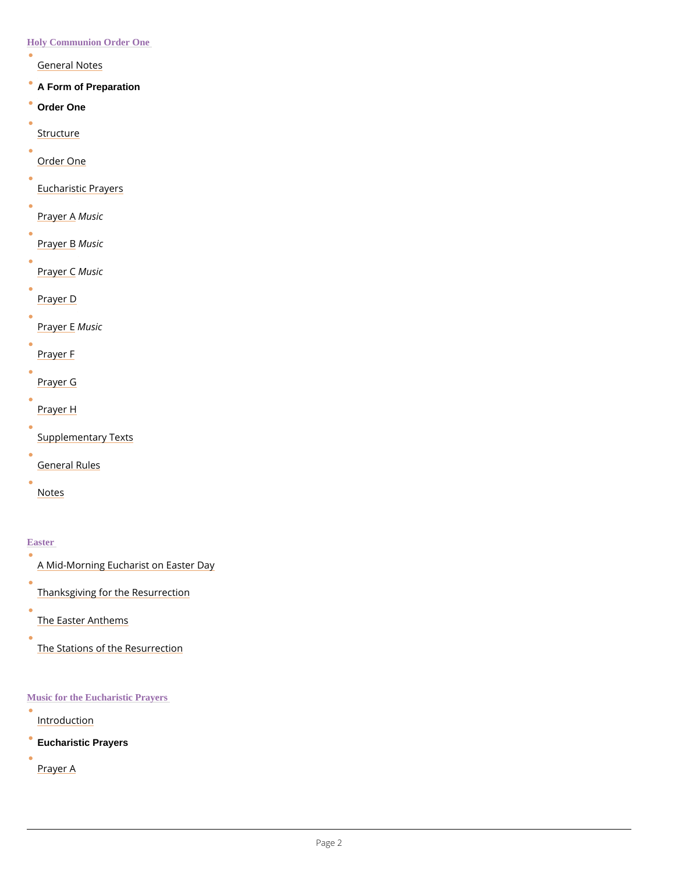Holy Communion Order One

- [General N](/prayer-and-worship/worship-texts-and-resources/common-worship/churchs-year/holy-week-and-easter/holy-communion-order-one#mm045)otes
- [A Form of Preparation](/prayer-and-worship/worship-texts-and-resources/common-worship/churchs-year/holy-week-and-easter/holy-communion-order-one#mm046)
- [Order One](/prayer-and-worship/worship-texts-and-resources/common-worship/churchs-year/holy-week-and-easter/holy-communion-order-one#mm047)
- **[Struct](/prayer-and-worship/worship-texts-and-resources/common-worship/churchs-year/holy-week-and-easter/holy-communion-order-one#mm048)ure**
- [Order O](/prayer-and-worship/worship-texts-and-resources/common-worship/churchs-year/holy-week-and-easter/holy-communion-order-one#mm049)ne
- [Eucharistic P](/prayer-and-worship/worship-texts-and-resources/common-worship/churchs-year/holy-week-and-easter/holy-communion-order-one#mm050)rayers
- [Praye](/prayer-and-worship/worship-texts-and-resources/common-worship/churchs-year/holy-week-and-easter/holy-communion-order-one#mm051) Masic
- 
- [Praye](/prayer-and-worship/worship-texts-and-resources/common-worship/churchs-year/holy-week-and-easter/holy-communion-order-one#mm052) MBsic
- [Praye](/prayer-and-worship/worship-texts-and-resources/common-worship/churchs-year/holy-week-and-easter/holy-communion-order-one#mm053) MOsic
- [Praye](/prayer-and-worship/worship-texts-and-resources/common-worship/churchs-year/holy-week-and-easter/holy-communion-order-one#mm054)r D
- [Praye](/prayer-and-worship/worship-texts-and-resources/common-worship/churchs-year/holy-week-and-easter/holy-communion-order-one#mm055) MEsic
- [Praye](/prayer-and-worship/worship-texts-and-resources/common-worship/churchs-year/holy-week-and-easter/holy-communion-order-one#mm056)r F
- 
- [Praye](/prayer-and-worship/worship-texts-and-resources/common-worship/churchs-year/holy-week-and-easter/holy-communion-order-one#mm057)r G
- [Praye](/prayer-and-worship/worship-texts-and-resources/common-worship/churchs-year/holy-week-and-easter/holy-communion-order-one#mm058)r H
- [Supplementary](/prayer-and-worship/worship-texts-and-resources/common-worship/churchs-year/holy-week-and-easter/holy-communion-order-one#mm059) Texts
- 
- [General R](/prayer-and-worship/worship-texts-and-resources/common-worship/churchs-year/holy-week-and-easter/holy-communion-order-one#mm060)ules
- [Note](/prayer-and-worship/worship-texts-and-resources/common-worship/churchs-year/holy-week-and-easter/holy-communion-order-one#mm061)s

**Easter** 

 $\bullet$ [Introduc](/prayer-and-worship/worship-texts-and-resources/common-worship/churchs-year/holy-week-and-easter/music-eucharistic-prayers#mm083)tion

- [A Mid-Morning Eucharist o](/prayer-and-worship/worship-texts-and-resources/common-worship/churchs-year/holy-week-and-easter/easter#mm079)n Easter Day
- [Thanksgiving for the R](/prayer-and-worship/worship-texts-and-resources/common-worship/churchs-year/holy-week-and-easter/easter#mm080)esurrection
- [The Easter A](/prayer-and-worship/worship-texts-and-resources/common-worship/churchs-year/holy-week-and-easter/easter#mm081)nthems
- $\bullet$ [The Stations of the R](/prayer-and-worship/worship-texts-and-resources/common-worship/churchs-year/holy-week-and-easter/easter#mm082)esurrection

Music for the Eucharistic Prayers

[Eucharistic Prayers](/prayer-and-worship/worship-texts-and-resources/common-worship/churchs-year/holy-week-and-easter/music-eucharistic-prayers#mm084)

[Praye](/prayer-and-worship/worship-texts-and-resources/common-worship/churchs-year/holy-week-and-easter/music-eucharistic-prayers#mm085)r A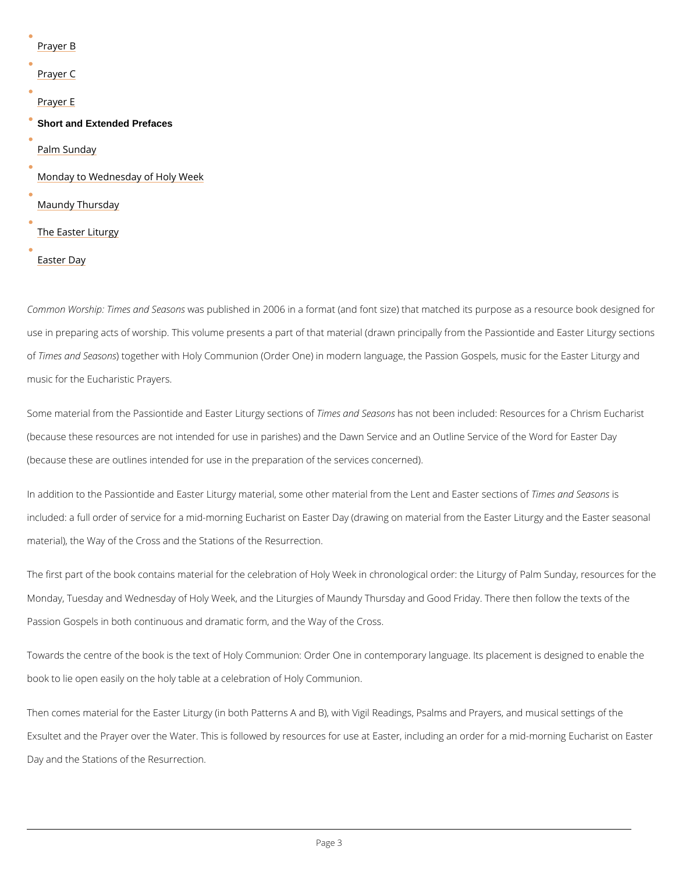| <u>Praye</u> r B                   |
|------------------------------------|
| Prayer C                           |
| Prayer E                           |
| <b>Short and Extended Prefaces</b> |
| Palm Sunday                        |
| Monday to Wednesday of Holy Week   |
| Maundy Thursday                    |
| The Easter Liturgy                 |
| Easter Day                         |

Common Worship: Timeswas dp Sebis besin 2006 in a format (and font size) that matched its pu use in preparing acts of worship. This volume presents a part of that material (drawn princip of Times and Syetaosgoenther with Holy Communion (Order One) in modern language, the Passion G music for the Eucharistic Prayers.

Some material from the Passiontide and Eāstheers LaintudroSybe asseconntoisto rbse oen included: Resources for a (because these resources are not intended for use in parishes) and the Dawn Service and an (because these are outlines intended for use in the preparation of the services concerned).

In addition to the Passiontide and Easter Liturgy material, some other m**ate** elaf**nd mS its as olnes** nt included: a full order of service for a mid-morning Eucharist on Easter Day (drawing on mate material), the Way of the Cross and the Stations of the Resurrection.

The first part of the book contains material for the celebration of Holy Week in chronological Monday, Tuesday and Wednesday of Holy Week, and the Liturgies of Maundy Thursday and Go Passion Gospels in both continuous and dramatic form, and the Way of the Cross.

Towards the centre of the book is the text of Holy Communion: Order One in contemporary la

book to lie open easily on the holy table at a celebration of Holy Communion.

Then comes material for the Easter Liturgy (in both Patterns A and B), with Vigil Readings, F

Exsultet and the Prayer over the Water. This is followed by resources for use at Easter, incl

Day and the Stations of the Resurrection.